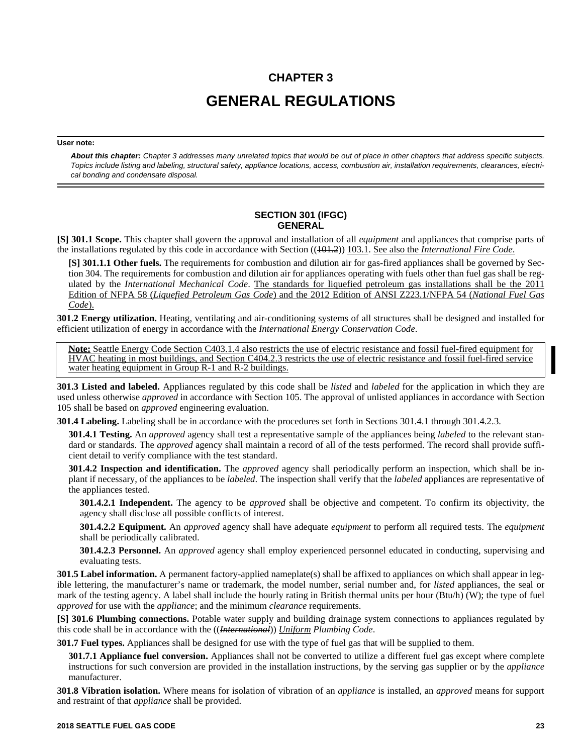# **CHAPTER 3 GENERAL REGULATIONS**

#### **User note:**

*About this chapter: Chapter 3 addresses many unrelated topics that would be out of place in other chapters that address specific subjects. Topics include listing and labeling, structural safety, appliance locations, access, combustion air, installation requirements, clearances, electrical bonding and condensate disposal.*

#### **SECTION 301 (IFGC) GENERAL**

**[S] 301.1 Scope.** This chapter shall govern the approval and installation of all *equipment* and appliances that comprise parts of the installations regulated by this code in accordance with Section ((101.2)) 103.1. See also the *International Fire Code*.

**[S] 301.1.1 Other fuels.** The requirements for combustion and dilution air for gas-fired appliances shall be governed by Section 304. The requirements for combustion and dilution air for appliances operating with fuels other than fuel gas shall be regulated by the *International Mechanical Code*. The standards for liquefied petroleum gas installations shall be the 2011 Edition of NFPA 58 (*Liquefied Petroleum Gas Code*) and the 2012 Edition of ANSI Z223.1/NFPA 54 (*National Fuel Gas Code*).

**301.2 Energy utilization.** Heating, ventilating and air-conditioning systems of all structures shall be designed and installed for efficient utilization of energy in accordance with the *International Energy Conservation Code*.

**Note:** Seattle Energy Code Section C403.1.4 also restricts the use of electric resistance and fossil fuel-fired equipment for HVAC heating in most buildings, and Section C404.2.3 restricts the use of electric resistance and fossil fuel-fired service water heating equipment in Group R-1 and R-2 buildings.

**301.3 Listed and labeled.** Appliances regulated by this code shall be *listed* and *labeled* for the application in which they are used unless otherwise *approved* in accordance with Section 105. The approval of unlisted appliances in accordance with Section 105 shall be based on *approved* engineering evaluation.

**301.4 Labeling.** Labeling shall be in accordance with the procedures set forth in Sections 301.4.1 through 301.4.2.3.

**301.4.1 Testing.** An *approved* agency shall test a representative sample of the appliances being *labeled* to the relevant standard or standards. The *approved* agency shall maintain a record of all of the tests performed. The record shall provide sufficient detail to verify compliance with the test standard.

**301.4.2 Inspection and identification.** The *approved* agency shall periodically perform an inspection, which shall be inplant if necessary, of the appliances to be *labeled*. The inspection shall verify that the *labeled* appliances are representative of the appliances tested.

**301.4.2.1 Independent.** The agency to be *approved* shall be objective and competent. To confirm its objectivity, the agency shall disclose all possible conflicts of interest.

**301.4.2.2 Equipment.** An *approved* agency shall have adequate *equipment* to perform all required tests. The *equipment* shall be periodically calibrated.

**301.4.2.3 Personnel.** An *approved* agency shall employ experienced personnel educated in conducting, supervising and evaluating tests.

**301.5 Label information.** A permanent factory-applied nameplate(s) shall be affixed to appliances on which shall appear in legible lettering, the manufacturer's name or trademark, the model number, serial number and, for *listed* appliances, the seal or mark of the testing agency. A label shall include the hourly rating in British thermal units per hour (Btu/h) (W); the type of fuel *approved* for use with the *appliance*; and the minimum *clearance* requirements.

**[S] 301.6 Plumbing connections.** Potable water supply and building drainage system connections to appliances regulated by this code shall be in accordance with the ((*International*)) *Uniform Plumbing Code*.

**301.7 Fuel types.** Appliances shall be designed for use with the type of fuel gas that will be supplied to them.

**301.7.1 Appliance fuel conversion.** Appliances shall not be converted to utilize a different fuel gas except where complete instructions for such conversion are provided in the installation instructions, by the serving gas supplier or by the *appliance* manufacturer.

**301.8 Vibration isolation.** Where means for isolation of vibration of an *appliance* is installed, an *approved* means for support and restraint of that *appliance* shall be provided.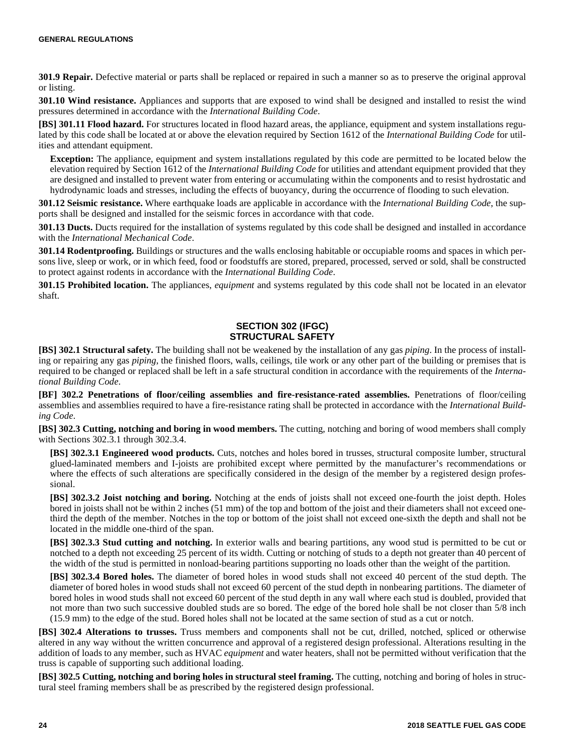**301.9 Repair.** Defective material or parts shall be replaced or repaired in such a manner so as to preserve the original approval or listing.

**301.10 Wind resistance.** Appliances and supports that are exposed to wind shall be designed and installed to resist the wind pressures determined in accordance with the *International Building Code*.

**[BS] 301.11 Flood hazard.** For structures located in flood hazard areas, the appliance, equipment and system installations regulated by this code shall be located at or above the elevation required by Section 1612 of the *International Building Code* for utilities and attendant equipment.

**Exception:** The appliance, equipment and system installations regulated by this code are permitted to be located below the elevation required by Section 1612 of the *International Building Code* for utilities and attendant equipment provided that they are designed and installed to prevent water from entering or accumulating within the components and to resist hydrostatic and hydrodynamic loads and stresses, including the effects of buoyancy, during the occurrence of flooding to such elevation.

**301.12 Seismic resistance.** Where earthquake loads are applicable in accordance with the *International Building Code*, the supports shall be designed and installed for the seismic forces in accordance with that code.

**301.13 Ducts.** Ducts required for the installation of systems regulated by this code shall be designed and installed in accordance with the *International Mechanical Code*.

**301.14 Rodentproofing.** Buildings or structures and the walls enclosing habitable or occupiable rooms and spaces in which persons live, sleep or work, or in which feed, food or foodstuffs are stored, prepared, processed, served or sold, shall be constructed to protect against rodents in accordance with the *International Building Code*.

**301.15 Prohibited location.** The appliances, *equipment* and systems regulated by this code shall not be located in an elevator shaft.

## **SECTION 302 (IFGC) STRUCTURAL SAFETY**

**[BS] 302.1 Structural safety.** The building shall not be weakened by the installation of any gas *piping*. In the process of installing or repairing any gas *piping*, the finished floors, walls, ceilings, tile work or any other part of the building or premises that is required to be changed or replaced shall be left in a safe structural condition in accordance with the requirements of the *International Building Code*.

**[BF] 302.2 Penetrations of floor/ceiling assemblies and fire-resistance-rated assemblies.** Penetrations of floor/ceiling assemblies and assemblies required to have a fire-resistance rating shall be protected in accordance with the *International Building Code*.

**[BS] 302.3 Cutting, notching and boring in wood members.** The cutting, notching and boring of wood members shall comply with Sections 302.3.1 through 302.3.4.

**[BS] 302.3.1 Engineered wood products.** Cuts, notches and holes bored in trusses, structural composite lumber, structural glued-laminated members and I-joists are prohibited except where permitted by the manufacturer's recommendations or where the effects of such alterations are specifically considered in the design of the member by a registered design professional.

**[BS] 302.3.2 Joist notching and boring.** Notching at the ends of joists shall not exceed one-fourth the joist depth. Holes bored in joists shall not be within 2 inches (51 mm) of the top and bottom of the joist and their diameters shall not exceed onethird the depth of the member. Notches in the top or bottom of the joist shall not exceed one-sixth the depth and shall not be located in the middle one-third of the span.

**[BS] 302.3.3 Stud cutting and notching.** In exterior walls and bearing partitions, any wood stud is permitted to be cut or notched to a depth not exceeding 25 percent of its width. Cutting or notching of studs to a depth not greater than 40 percent of the width of the stud is permitted in nonload-bearing partitions supporting no loads other than the weight of the partition.

**[BS] 302.3.4 Bored holes.** The diameter of bored holes in wood studs shall not exceed 40 percent of the stud depth. The diameter of bored holes in wood studs shall not exceed 60 percent of the stud depth in nonbearing partitions. The diameter of bored holes in wood studs shall not exceed 60 percent of the stud depth in any wall where each stud is doubled, provided that not more than two such successive doubled studs are so bored. The edge of the bored hole shall be not closer than 5/8 inch (15.9 mm) to the edge of the stud. Bored holes shall not be located at the same section of stud as a cut or notch.

**[BS] 302.4 Alterations to trusses.** Truss members and components shall not be cut, drilled, notched, spliced or otherwise altered in any way without the written concurrence and approval of a registered design professional. Alterations resulting in the addition of loads to any member, such as HVAC *equipment* and water heaters, shall not be permitted without verification that the truss is capable of supporting such additional loading.

**[BS] 302.5 Cutting, notching and boring holes in structural steel framing.** The cutting, notching and boring of holes in structural steel framing members shall be as prescribed by the registered design professional.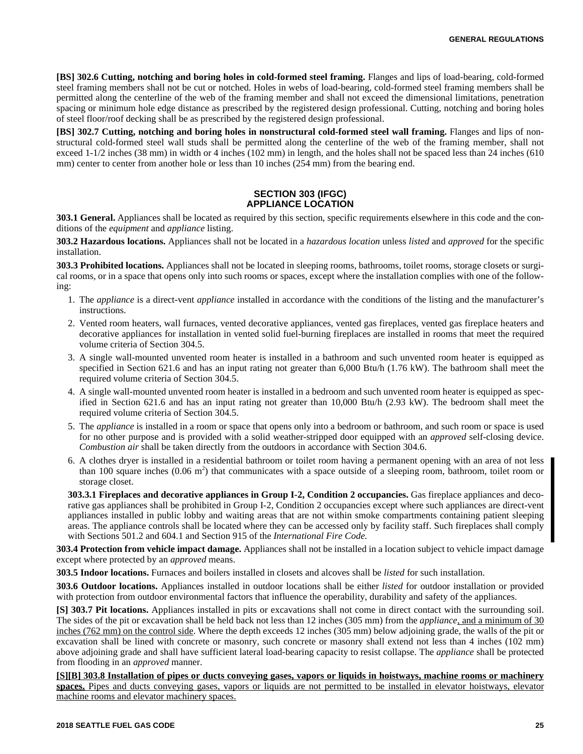**[BS] 302.6 Cutting, notching and boring holes in cold-formed steel framing.** Flanges and lips of load-bearing, cold-formed steel framing members shall not be cut or notched. Holes in webs of load-bearing, cold-formed steel framing members shall be permitted along the centerline of the web of the framing member and shall not exceed the dimensional limitations, penetration spacing or minimum hole edge distance as prescribed by the registered design professional. Cutting, notching and boring holes of steel floor/roof decking shall be as prescribed by the registered design professional.

**[BS] 302.7 Cutting, notching and boring holes in nonstructural cold-formed steel wall framing.** Flanges and lips of nonstructural cold-formed steel wall studs shall be permitted along the centerline of the web of the framing member, shall not exceed 1-1/2 inches (38 mm) in width or 4 inches (102 mm) in length, and the holes shall not be spaced less than 24 inches (610 mm) center to center from another hole or less than 10 inches (254 mm) from the bearing end.

# **SECTION 303 (IFGC) APPLIANCE LOCATION**

**303.1 General.** Appliances shall be located as required by this section, specific requirements elsewhere in this code and the conditions of the *equipment* and *appliance* listing.

**303.2 Hazardous locations.** Appliances shall not be located in a *hazardous location* unless *listed* and *approved* for the specific installation.

**303.3 Prohibited locations.** Appliances shall not be located in sleeping rooms, bathrooms, toilet rooms, storage closets or surgical rooms, or in a space that opens only into such rooms or spaces, except where the installation complies with one of the following:

- 1. The *appliance* is a direct-vent *appliance* installed in accordance with the conditions of the listing and the manufacturer's instructions.
- 2. Vented room heaters, wall furnaces, vented decorative appliances, vented gas fireplaces, vented gas fireplace heaters and decorative appliances for installation in vented solid fuel-burning fireplaces are installed in rooms that meet the required volume criteria of Section 304.5.
- 3. A single wall-mounted unvented room heater is installed in a bathroom and such unvented room heater is equipped as specified in Section 621.6 and has an input rating not greater than 6,000 Btu/h (1.76 kW). The bathroom shall meet the required volume criteria of Section 304.5.
- 4. A single wall-mounted unvented room heater is installed in a bedroom and such unvented room heater is equipped as specified in Section 621.6 and has an input rating not greater than 10,000 Btu/h (2.93 kW). The bedroom shall meet the required volume criteria of Section 304.5.
- 5. The *appliance* is installed in a room or space that opens only into a bedroom or bathroom, and such room or space is used for no other purpose and is provided with a solid weather-stripped door equipped with an *approved* self-closing device. *Combustion air* shall be taken directly from the outdoors in accordance with Section 304.6.
- 6. A clothes dryer is installed in a residential bathroom or toilet room having a permanent opening with an area of not less than 100 square inches  $(0.06 \text{ m}^2)$  that communicates with a space outside of a sleeping room, bathroom, toilet room or storage closet.

**303.3.1 Fireplaces and decorative appliances in Group I-2, Condition 2 occupancies.** Gas fireplace appliances and decorative gas appliances shall be prohibited in Group I-2, Condition 2 occupancies except where such appliances are direct-vent appliances installed in public lobby and waiting areas that are not within smoke compartments containing patient sleeping areas. The appliance controls shall be located where they can be accessed only by facility staff. Such fireplaces shall comply with Sections 501.2 and 604.1 and Section 915 of the *International Fire Code.*

**303.4 Protection from vehicle impact damage.** Appliances shall not be installed in a location subject to vehicle impact damage except where protected by an *approved* means.

**303.5 Indoor locations.** Furnaces and boilers installed in closets and alcoves shall be *listed* for such installation.

**303.6 Outdoor locations.** Appliances installed in outdoor locations shall be either *listed* for outdoor installation or provided with protection from outdoor environmental factors that influence the operability, durability and safety of the appliances.

**[S] 303.7 Pit locations.** Appliances installed in pits or excavations shall not come in direct contact with the surrounding soil. The sides of the pit or excavation shall be held back not less than 12 inches (305 mm) from the *appliance*, and a minimum of 30 inches (762 mm) on the control side. Where the depth exceeds 12 inches (305 mm) below adjoining grade, the walls of the pit or excavation shall be lined with concrete or masonry, such concrete or masonry shall extend not less than 4 inches (102 mm) above adjoining grade and shall have sufficient lateral load-bearing capacity to resist collapse. The *appliance* shall be protected from flooding in an *approved* manner.

**[S][B] 303.8 Installation of pipes or ducts conveying gases, vapors or liquids in hoistways, machine rooms or machinery spaces.** Pipes and ducts conveying gases, vapors or liquids are not permitted to be installed in elevator hoistways, elevator machine rooms and elevator machinery spaces.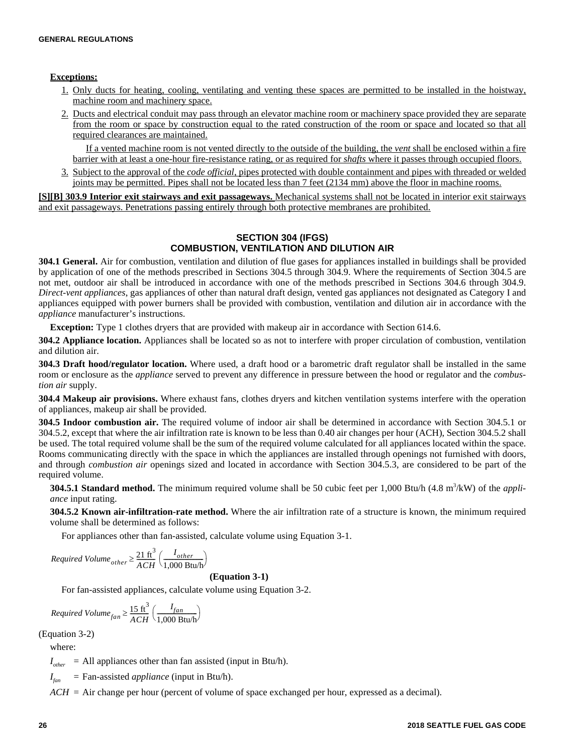#### **Exceptions:**

- 1. Only ducts for heating, cooling, ventilating and venting these spaces are permitted to be installed in the hoistway, machine room and machinery space.
- 2. Ducts and electrical conduit may pass through an elevator machine room or machinery space provided they are separate from the room or space by construction equal to the rated construction of the room or space and located so that all required clearances are maintained.

If a vented machine room is not vented directly to the outside of the building, the *vent* shall be enclosed within a fire barrier with at least a one-hour fire-resistance rating, or as required for *shafts* where it passes through occupied floors.

3. Subject to the approval of the *code official,* pipes protected with double containment and pipes with threaded or welded joints may be permitted. Pipes shall not be located less than 7 feet (2134 mm) above the floor in machine rooms.

**[S][B] 303.9 Interior exit stairways and exit passageways.** Mechanical systems shall not be located in interior exit stairways and exit passageways. Penetrations passing entirely through both protective membranes are prohibited.

## **SECTION 304 (IFGS) COMBUSTION, VENTILATION AND DILUTION AIR**

**304.1 General.** Air for combustion, ventilation and dilution of flue gases for appliances installed in buildings shall be provided by application of one of the methods prescribed in Sections 304.5 through 304.9. Where the requirements of Section 304.5 are not met, outdoor air shall be introduced in accordance with one of the methods prescribed in Sections 304.6 through 304.9. *Direct-vent appliances*, gas appliances of other than natural draft design, vented gas appliances not designated as Category I and appliances equipped with power burners shall be provided with combustion, ventilation and dilution air in accordance with the *appliance* manufacturer's instructions.

**Exception:** Type 1 clothes dryers that are provided with makeup air in accordance with Section 614.6.

**304.2 Appliance location.** Appliances shall be located so as not to interfere with proper circulation of combustion, ventilation and dilution air.

**304.3 Draft hood/regulator location.** Where used, a draft hood or a barometric draft regulator shall be installed in the same room or enclosure as the *appliance* served to prevent any difference in pressure between the hood or regulator and the *combustion air* supply.

**304.4 Makeup air provisions.** Where exhaust fans, clothes dryers and kitchen ventilation systems interfere with the operation of appliances, makeup air shall be provided.

**304.5 Indoor combustion air.** The required volume of indoor air shall be determined in accordance with Section 304.5.1 or 304.5.2, except that where the air infiltration rate is known to be less than 0.40 air changes per hour (ACH), Section 304.5.2 shall be used. The total required volume shall be the sum of the required volume calculated for all appliances located within the space. Rooms communicating directly with the space in which the appliances are installed through openings not furnished with doors, and through *combustion air* openings sized and located in accordance with Section 304.5.3, are considered to be part of the required volume.

**304.5.1 Standard method.** The minimum required volume shall be 50 cubic feet per 1,000 Btu/h (4.8 m<sup>3</sup>/kW) of the *appliance* input rating.

**304.5.2 Known air-infiltration-rate method.** Where the air infiltration rate of a structure is known, the minimum required volume shall be determined as follows:

For appliances other than fan-assisted, calculate volume using Equation 3-1.

$$
Required \ Volume_{other} \geq \frac{21 \text{ ft}^3}{ACHer} \left( \frac{I_{other}}{1,000 \text{ Btu/h}} \right)
$$

#### **(Equation 3-1)**

For fan-assisted appliances, calculate volume using Equation 3-2.

$$
Required \ Volume_{fan} \ge \frac{15 \text{ ft}^3}{A \text{ }CH} \left( \frac{I_{fan}}{1,000 \text{ Btu/h}} \right)
$$

(Equation 3-2)

where:

 $I_{other}$  = All appliances other than fan assisted (input in Btu/h).

 $I_{tan}$ *fan* = Fan-assisted *appliance* (input in Btu/h).

*ACH* = Air change per hour (percent of volume of space exchanged per hour, expressed as a decimal).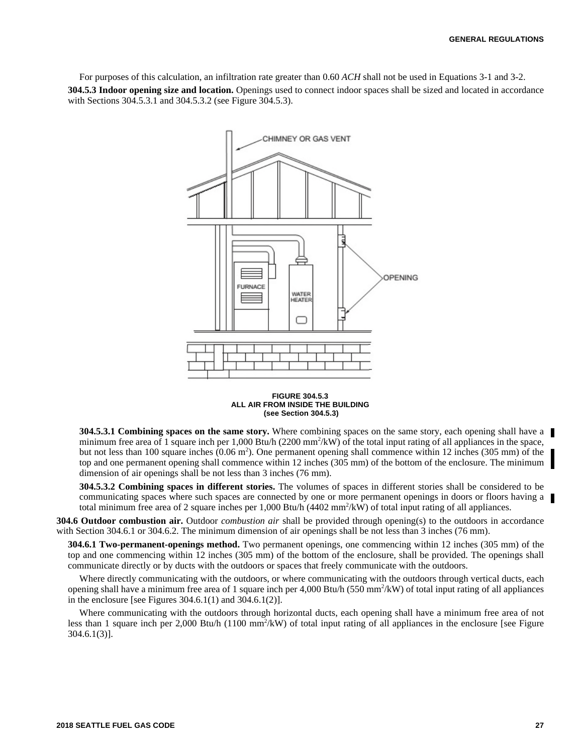For purposes of this calculation, an infiltration rate greater than 0.60 *ACH* shall not be used in Equations 3-1 and 3-2. **304.5.3 Indoor opening size and location.** Openings used to connect indoor spaces shall be sized and located in accordance with Sections 304.5.3.1 and 304.5.3.2 (see Figure 304.5.3).



**FIGURE 304.5.3 ALL AIR FROM INSIDE THE BUILDING (see Section 304.5.3)**

**304.5.3.1 Combining spaces on the same story.** Where combining spaces on the same story, each opening shall have a minimum free area of 1 square inch per 1,000 Btu/h (2200 mm<sup>2</sup>/kW) of the total input rating of all appliances in the space, but not less than 100 square inches  $(0.06 \text{ m}^2)$ . One permanent opening shall commence within 12 inches (305 mm) of the top and one permanent opening shall commence within 12 inches (305 mm) of the bottom of the enclosure. The minimum dimension of air openings shall be not less than 3 inches (76 mm).

**304.5.3.2 Combining spaces in different stories.** The volumes of spaces in different stories shall be considered to be communicating spaces where such spaces are connected by one or more permanent openings in doors or floors having a total minimum free area of 2 square inches per 1,000 Btu/h (4402 mm<sup>2</sup>/kW) of total input rating of all appliances.

**304.6 Outdoor combustion air.** Outdoor *combustion air* shall be provided through opening(s) to the outdoors in accordance with Section 304.6.1 or 304.6.2. The minimum dimension of air openings shall be not less than 3 inches (76 mm).

**304.6.1 Two-permanent-openings method.** Two permanent openings, one commencing within 12 inches (305 mm) of the top and one commencing within 12 inches (305 mm) of the bottom of the enclosure, shall be provided. The openings shall communicate directly or by ducts with the outdoors or spaces that freely communicate with the outdoors.

Where directly communicating with the outdoors, or where communicating with the outdoors through vertical ducts, each opening shall have a minimum free area of 1 square inch per 4,000 Btu/h (550 mm<sup>2</sup>/kW) of total input rating of all appliances in the enclosure [see Figures 304.6.1(1) and 304.6.1(2)].

Where communicating with the outdoors through horizontal ducts, each opening shall have a minimum free area of not less than 1 square inch per 2,000 Btu/h (1100 mm<sup>2</sup>/kW) of total input rating of all appliances in the enclosure [see Figure 304.6.1(3)].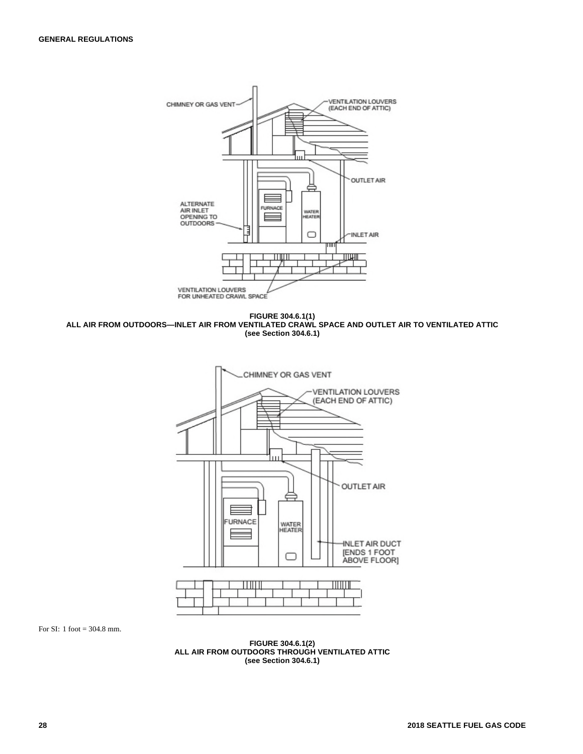

**FIGURE 304.6.1(1) ALL AIR FROM OUTDOORS—INLET AIR FROM VENTILATED CRAWL SPACE AND OUTLET AIR TO VENTILATED ATTIC (see Section 304.6.1)**



For SI: 1 foot = 304.8 mm.

**FIGURE 304.6.1(2) ALL AIR FROM OUTDOORS THROUGH VENTILATED ATTIC (see Section 304.6.1)**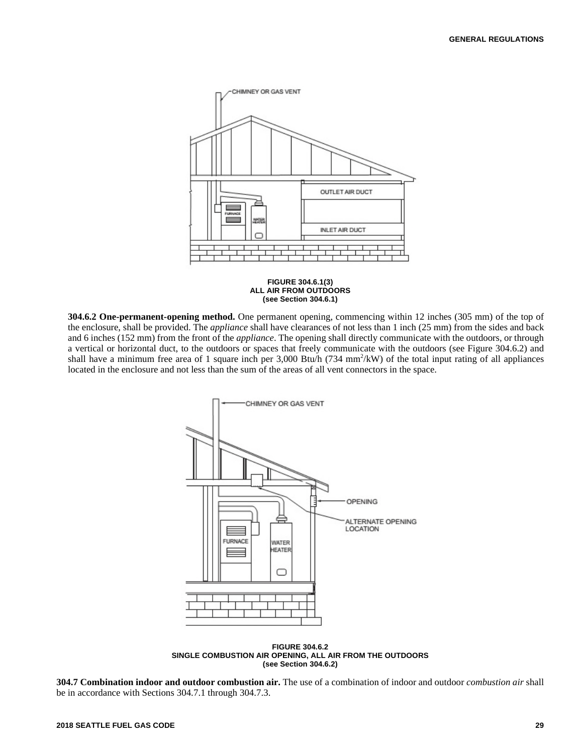

**FIGURE 304.6.1(3) ALL AIR FROM OUTDOORS (see Section 304.6.1)**

**304.6.2 One-permanent-opening method.** One permanent opening, commencing within 12 inches (305 mm) of the top of the enclosure, shall be provided. The *appliance* shall have clearances of not less than 1 inch (25 mm) from the sides and back and 6 inches (152 mm) from the front of the *appliance*. The opening shall directly communicate with the outdoors, or through a vertical or horizontal duct, to the outdoors or spaces that freely communicate with the outdoors (see Figure 304.6.2) and shall have a minimum free area of 1 square inch per 3,000 Btu/h (734 mm<sup>2</sup>/kW) of the total input rating of all appliances located in the enclosure and not less than the sum of the areas of all vent connectors in the space.



**FIGURE 304.6.2 SINGLE COMBUSTION AIR OPENING, ALL AIR FROM THE OUTDOORS (see Section 304.6.2)**

**304.7 Combination indoor and outdoor combustion air.** The use of a combination of indoor and outdoor *combustion air* shall be in accordance with Sections 304.7.1 through 304.7.3.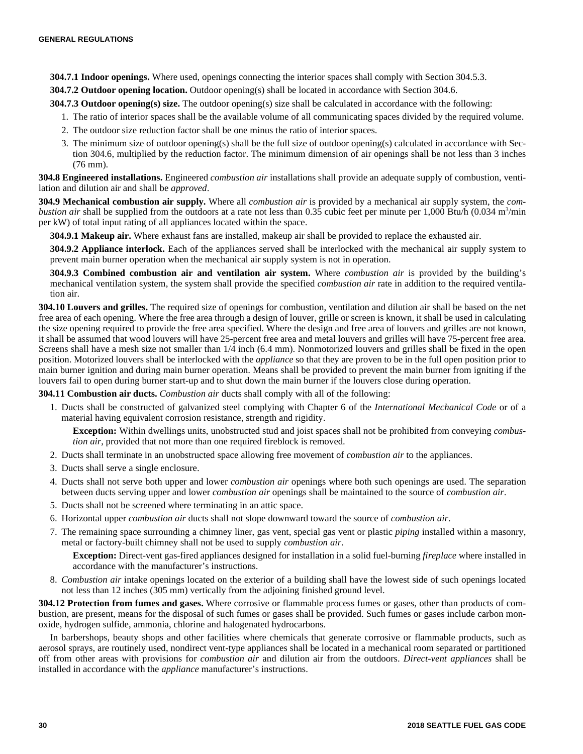**304.7.1 Indoor openings.** Where used, openings connecting the interior spaces shall comply with Section 304.5.3.

**304.7.2 Outdoor opening location.** Outdoor opening(s) shall be located in accordance with Section 304.6.

**304.7.3 Outdoor opening(s) size.** The outdoor opening(s) size shall be calculated in accordance with the following:

- 1. The ratio of interior spaces shall be the available volume of all communicating spaces divided by the required volume.
- 2. The outdoor size reduction factor shall be one minus the ratio of interior spaces.
- 3. The minimum size of outdoor opening(s) shall be the full size of outdoor opening(s) calculated in accordance with Section 304.6, multiplied by the reduction factor. The minimum dimension of air openings shall be not less than 3 inches (76 mm).

**304.8 Engineered installations.** Engineered *combustion air* installations shall provide an adequate supply of combustion, ventilation and dilution air and shall be *approved*.

**304.9 Mechanical combustion air supply.** Where all *combustion air* is provided by a mechanical air supply system, the *combustion air* shall be supplied from the outdoors at a rate not less than 0.35 cubic feet per minute per 1,000 Btu/h (0.034 m<sup>3</sup>/min per kW) of total input rating of all appliances located within the space.

**304.9.1 Makeup air.** Where exhaust fans are installed, makeup air shall be provided to replace the exhausted air.

**304.9.2 Appliance interlock.** Each of the appliances served shall be interlocked with the mechanical air supply system to prevent main burner operation when the mechanical air supply system is not in operation.

**304.9.3 Combined combustion air and ventilation air system.** Where *combustion air* is provided by the building's mechanical ventilation system, the system shall provide the specified *combustion air* rate in addition to the required ventilation air.

**304.10 Louvers and grilles.** The required size of openings for combustion, ventilation and dilution air shall be based on the net free area of each opening. Where the free area through a design of louver, grille or screen is known, it shall be used in calculating the size opening required to provide the free area specified. Where the design and free area of louvers and grilles are not known, it shall be assumed that wood louvers will have 25-percent free area and metal louvers and grilles will have 75-percent free area. Screens shall have a mesh size not smaller than 1/4 inch (6.4 mm). Nonmotorized louvers and grilles shall be fixed in the open position. Motorized louvers shall be interlocked with the *appliance* so that they are proven to be in the full open position prior to main burner ignition and during main burner operation. Means shall be provided to prevent the main burner from igniting if the louvers fail to open during burner start-up and to shut down the main burner if the louvers close during operation.

**304.11 Combustion air ducts.** *Combustion air* ducts shall comply with all of the following:

1. Ducts shall be constructed of galvanized steel complying with Chapter 6 of the *International Mechanical Code* or of a material having equivalent corrosion resistance, strength and rigidity.

**Exception:** Within dwellings units, unobstructed stud and joist spaces shall not be prohibited from conveying *combustion air*, provided that not more than one required fireblock is removed.

- 2. Ducts shall terminate in an unobstructed space allowing free movement of *combustion air* to the appliances.
- 3. Ducts shall serve a single enclosure.
- 4. Ducts shall not serve both upper and lower *combustion air* openings where both such openings are used. The separation between ducts serving upper and lower *combustion air* openings shall be maintained to the source of *combustion air*.
- 5. Ducts shall not be screened where terminating in an attic space.
- 6. Horizontal upper *combustion air* ducts shall not slope downward toward the source of *combustion air*.
- 7. The remaining space surrounding a chimney liner, gas vent, special gas vent or plastic *piping* installed within a masonry, metal or factory-built chimney shall not be used to supply *combustion air*.

**Exception:** Direct-vent gas-fired appliances designed for installation in a solid fuel-burning *fireplace* where installed in accordance with the manufacturer's instructions.

8. *Combustion air* intake openings located on the exterior of a building shall have the lowest side of such openings located not less than 12 inches (305 mm) vertically from the adjoining finished ground level.

**304.12 Protection from fumes and gases.** Where corrosive or flammable process fumes or gases, other than products of combustion, are present, means for the disposal of such fumes or gases shall be provided. Such fumes or gases include carbon monoxide, hydrogen sulfide, ammonia, chlorine and halogenated hydrocarbons.

In barbershops, beauty shops and other facilities where chemicals that generate corrosive or flammable products, such as aerosol sprays, are routinely used, nondirect vent-type appliances shall be located in a mechanical room separated or partitioned off from other areas with provisions for *combustion air* and dilution air from the outdoors. *Direct-vent appliances* shall be installed in accordance with the *appliance* manufacturer's instructions.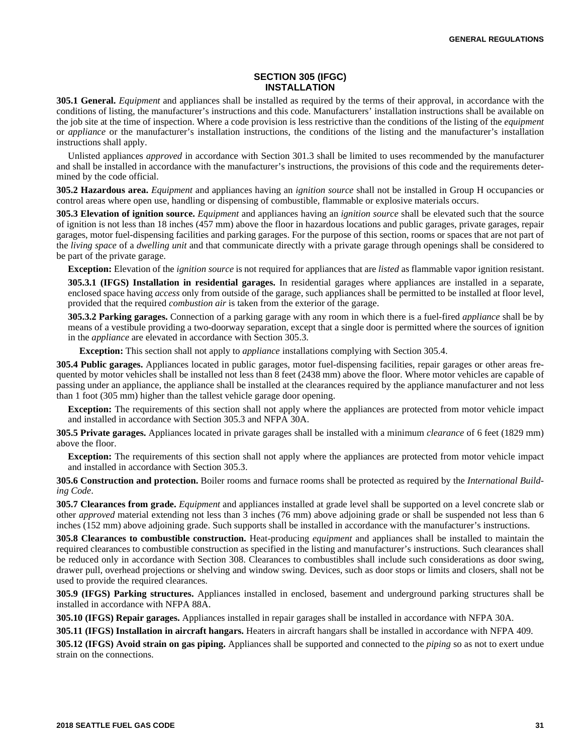## **SECTION 305 (IFGC) INSTALLATION**

**305.1 General.** *Equipment* and appliances shall be installed as required by the terms of their approval, in accordance with the conditions of listing, the manufacturer's instructions and this code. Manufacturers' installation instructions shall be available on the job site at the time of inspection. Where a code provision is less restrictive than the conditions of the listing of the *equipment* or *appliance* or the manufacturer's installation instructions, the conditions of the listing and the manufacturer's installation instructions shall apply.

Unlisted appliances *approved* in accordance with Section 301.3 shall be limited to uses recommended by the manufacturer and shall be installed in accordance with the manufacturer's instructions, the provisions of this code and the requirements determined by the code official.

**305.2 Hazardous area.** *Equipment* and appliances having an *ignition source* shall not be installed in Group H occupancies or control areas where open use, handling or dispensing of combustible, flammable or explosive materials occurs.

**305.3 Elevation of ignition source.** *Equipment* and appliances having an *ignition source* shall be elevated such that the source of ignition is not less than 18 inches (457 mm) above the floor in hazardous locations and public garages, private garages, repair garages, motor fuel-dispensing facilities and parking garages. For the purpose of this section, rooms or spaces that are not part of the *living space* of a *dwelling unit* and that communicate directly with a private garage through openings shall be considered to be part of the private garage.

**Exception:** Elevation of the *ignition source* is not required for appliances that are *listed* as flammable vapor ignition resistant.

**305.3.1 (IFGS) Installation in residential garages.** In residential garages where appliances are installed in a separate, enclosed space having *access* only from outside of the garage, such appliances shall be permitted to be installed at floor level, provided that the required *combustion air* is taken from the exterior of the garage.

**305.3.2 Parking garages.** Connection of a parking garage with any room in which there is a fuel-fired *appliance* shall be by means of a vestibule providing a two-doorway separation, except that a single door is permitted where the sources of ignition in the *appliance* are elevated in accordance with Section 305.3.

**Exception:** This section shall not apply to *appliance* installations complying with Section 305.4.

**305.4 Public garages.** Appliances located in public garages, motor fuel-dispensing facilities, repair garages or other areas frequented by motor vehicles shall be installed not less than 8 feet (2438 mm) above the floor. Where motor vehicles are capable of passing under an appliance, the appliance shall be installed at the clearances required by the appliance manufacturer and not less than 1 foot (305 mm) higher than the tallest vehicle garage door opening.

**Exception:** The requirements of this section shall not apply where the appliances are protected from motor vehicle impact and installed in accordance with Section 305.3 and NFPA 30A.

**305.5 Private garages.** Appliances located in private garages shall be installed with a minimum *clearance* of 6 feet (1829 mm) above the floor.

**Exception:** The requirements of this section shall not apply where the appliances are protected from motor vehicle impact and installed in accordance with Section 305.3.

**305.6 Construction and protection.** Boiler rooms and furnace rooms shall be protected as required by the *International Building Code*.

**305.7 Clearances from grade.** *Equipment* and appliances installed at grade level shall be supported on a level concrete slab or other *approved* material extending not less than 3 inches (76 mm) above adjoining grade or shall be suspended not less than 6 inches (152 mm) above adjoining grade. Such supports shall be installed in accordance with the manufacturer's instructions.

**305.8 Clearances to combustible construction.** Heat-producing *equipment* and appliances shall be installed to maintain the required clearances to combustible construction as specified in the listing and manufacturer's instructions. Such clearances shall be reduced only in accordance with Section 308. Clearances to combustibles shall include such considerations as door swing, drawer pull, overhead projections or shelving and window swing. Devices, such as door stops or limits and closers, shall not be used to provide the required clearances.

**305.9 (IFGS) Parking structures.** Appliances installed in enclosed, basement and underground parking structures shall be installed in accordance with NFPA 88A.

**305.10 (IFGS) Repair garages.** Appliances installed in repair garages shall be installed in accordance with NFPA 30A.

**305.11 (IFGS) Installation in aircraft hangars.** Heaters in aircraft hangars shall be installed in accordance with NFPA 409.

**305.12 (IFGS) Avoid strain on gas piping.** Appliances shall be supported and connected to the *piping* so as not to exert undue strain on the connections.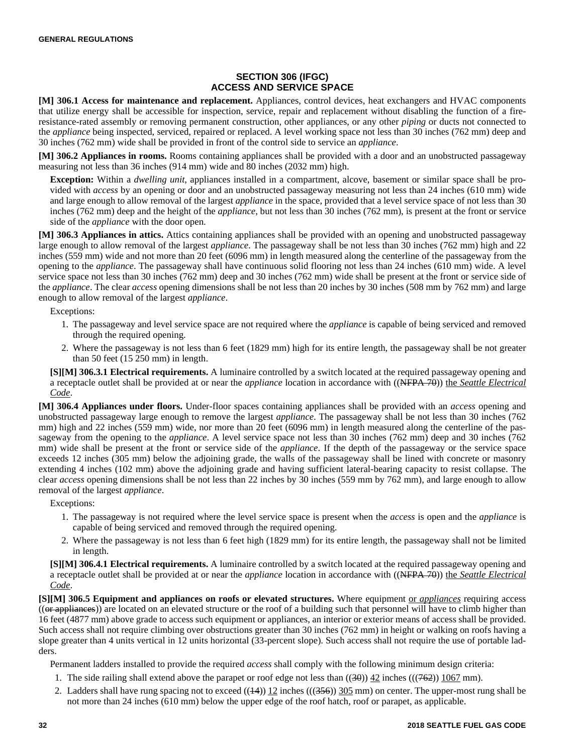# **SECTION 306 (IFGC) ACCESS AND SERVICE SPACE**

**[M] 306.1 Access for maintenance and replacement.** Appliances, control devices, heat exchangers and HVAC components that utilize energy shall be accessible for inspection, service, repair and replacement without disabling the function of a fireresistance-rated assembly or removing permanent construction, other appliances, or any other *piping* or ducts not connected to the *appliance* being inspected, serviced, repaired or replaced. A level working space not less than 30 inches (762 mm) deep and 30 inches (762 mm) wide shall be provided in front of the control side to service an *appliance*.

**[M] 306.2 Appliances in rooms.** Rooms containing appliances shall be provided with a door and an unobstructed passageway measuring not less than 36 inches (914 mm) wide and 80 inches (2032 mm) high.

**Exception:** Within a *dwelling unit*, appliances installed in a compartment, alcove, basement or similar space shall be provided with *access* by an opening or door and an unobstructed passageway measuring not less than 24 inches (610 mm) wide and large enough to allow removal of the largest *appliance* in the space, provided that a level service space of not less than 30 inches (762 mm) deep and the height of the *appliance*, but not less than 30 inches (762 mm), is present at the front or service side of the *appliance* with the door open.

**[M] 306.3 Appliances in attics.** Attics containing appliances shall be provided with an opening and unobstructed passageway large enough to allow removal of the largest *appliance*. The passageway shall be not less than 30 inches (762 mm) high and 22 inches (559 mm) wide and not more than 20 feet (6096 mm) in length measured along the centerline of the passageway from the opening to the *appliance*. The passageway shall have continuous solid flooring not less than 24 inches (610 mm) wide. A level service space not less than 30 inches (762 mm) deep and 30 inches (762 mm) wide shall be present at the front or service side of the *appliance*. The clear *access* opening dimensions shall be not less than 20 inches by 30 inches (508 mm by 762 mm) and large enough to allow removal of the largest *appliance*.

Exceptions:

- 1. The passageway and level service space are not required where the *appliance* is capable of being serviced and removed through the required opening.
- 2. Where the passageway is not less than 6 feet (1829 mm) high for its entire length, the passageway shall be not greater than 50 feet (15 250 mm) in length.

**[S][M] 306.3.1 Electrical requirements.** A luminaire controlled by a switch located at the required passageway opening and a receptacle outlet shall be provided at or near the *appliance* location in accordance with ((NFPA 70)) the *Seattle Electrical Code*.

**[M] 306.4 Appliances under floors.** Under-floor spaces containing appliances shall be provided with an *access* opening and unobstructed passageway large enough to remove the largest *appliance*. The passageway shall be not less than 30 inches (762 mm) high and 22 inches (559 mm) wide, nor more than 20 feet (6096 mm) in length measured along the centerline of the passageway from the opening to the *appliance*. A level service space not less than 30 inches (762 mm) deep and 30 inches (762 mm) wide shall be present at the front or service side of the *appliance*. If the depth of the passageway or the service space exceeds 12 inches (305 mm) below the adjoining grade, the walls of the passageway shall be lined with concrete or masonry extending 4 inches (102 mm) above the adjoining grade and having sufficient lateral-bearing capacity to resist collapse. The clear *access* opening dimensions shall be not less than 22 inches by 30 inches (559 mm by 762 mm), and large enough to allow removal of the largest *appliance*.

Exceptions:

- 1. The passageway is not required where the level service space is present when the *access* is open and the *appliance* is capable of being serviced and removed through the required opening.
- 2. Where the passageway is not less than 6 feet high (1829 mm) for its entire length, the passageway shall not be limited in length.

**[S][M] 306.4.1 Electrical requirements.** A luminaire controlled by a switch located at the required passageway opening and a receptacle outlet shall be provided at or near the *appliance* location in accordance with ((NFPA 70)) the *Seattle Electrical Code*.

**[S][M] 306.5 Equipment and appliances on roofs or elevated structures.** Where equipment or *appliances* requiring access ((or appliances)) are located on an elevated structure or the roof of a building such that personnel will have to climb higher than 16 feet (4877 mm) above grade to access such equipment or appliances, an interior or exterior means of access shall be provided. Such access shall not require climbing over obstructions greater than 30 inches (762 mm) in height or walking on roofs having a slope greater than 4 units vertical in 12 units horizontal (33-percent slope). Such access shall not require the use of portable ladders.

Permanent ladders installed to provide the required *access* shall comply with the following minimum design criteria:

- 1. The side railing shall extend above the parapet or roof edge not less than  $((30))$  42 inches  $(((762))$  1067 mm).
- 2. Ladders shall have rung spacing not to exceed  $((44))$  12 inches  $(((356))$  305 mm) on center. The upper-most rung shall be not more than 24 inches (610 mm) below the upper edge of the roof hatch, roof or parapet, as applicable.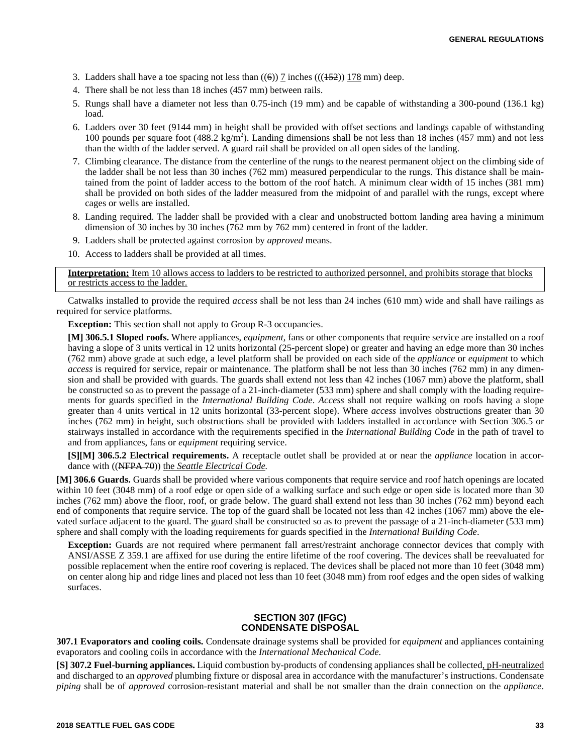- 3. Ladders shall have a toe spacing not less than  $((6)$   $\mathcal{I}$  inches  $(((452))$  178 mm) deep.
- 4. There shall be not less than 18 inches (457 mm) between rails.
- 5. Rungs shall have a diameter not less than 0.75-inch (19 mm) and be capable of withstanding a 300-pound (136.1 kg) load.
- 6. Ladders over 30 feet (9144 mm) in height shall be provided with offset sections and landings capable of withstanding 100 pounds per square foot (488.2 kg/m<sup>2</sup>). Landing dimensions shall be not less than 18 inches (457 mm) and not less than the width of the ladder served. A guard rail shall be provided on all open sides of the landing.
- 7. Climbing clearance. The distance from the centerline of the rungs to the nearest permanent object on the climbing side of the ladder shall be not less than 30 inches (762 mm) measured perpendicular to the rungs. This distance shall be maintained from the point of ladder access to the bottom of the roof hatch. A minimum clear width of 15 inches (381 mm) shall be provided on both sides of the ladder measured from the midpoint of and parallel with the rungs, except where cages or wells are installed.
- 8. Landing required. The ladder shall be provided with a clear and unobstructed bottom landing area having a minimum dimension of 30 inches by 30 inches (762 mm by 762 mm) centered in front of the ladder.
- 9. Ladders shall be protected against corrosion by *approved* means.
- 10. Access to ladders shall be provided at all times.

**Interpretation:** Item 10 allows access to ladders to be restricted to authorized personnel, and prohibits storage that blocks or restricts access to the ladder.

Catwalks installed to provide the required *access* shall be not less than 24 inches (610 mm) wide and shall have railings as required for service platforms.

**Exception:** This section shall not apply to Group R-3 occupancies.

**[M] 306.5.1 Sloped roofs.** Where appliances, *equipment*, fans or other components that require service are installed on a roof having a slope of 3 units vertical in 12 units horizontal (25-percent slope) or greater and having an edge more than 30 inches (762 mm) above grade at such edge, a level platform shall be provided on each side of the *appliance* or *equipment* to which *access* is required for service, repair or maintenance. The platform shall be not less than 30 inches (762 mm) in any dimension and shall be provided with guards. The guards shall extend not less than 42 inches (1067 mm) above the platform, shall be constructed so as to prevent the passage of a 21-inch-diameter (533 mm) sphere and shall comply with the loading requirements for guards specified in the *International Building Code*. *Access* shall not require walking on roofs having a slope greater than 4 units vertical in 12 units horizontal (33-percent slope). Where *access* involves obstructions greater than 30 inches (762 mm) in height, such obstructions shall be provided with ladders installed in accordance with Section 306.5 or stairways installed in accordance with the requirements specified in the *International Building Code* in the path of travel to and from appliances, fans or *equipment* requiring service.

**[S][M] 306.5.2 Electrical requirements.** A receptacle outlet shall be provided at or near the *appliance* location in accordance with ((NFPA 70)) the *Seattle Electrical Code.*

**[M] 306.6 Guards.** Guards shall be provided where various components that require service and roof hatch openings are located within 10 feet (3048 mm) of a roof edge or open side of a walking surface and such edge or open side is located more than 30 inches (762 mm) above the floor, roof, or grade below. The guard shall extend not less than 30 inches (762 mm) beyond each end of components that require service. The top of the guard shall be located not less than 42 inches (1067 mm) above the elevated surface adjacent to the guard. The guard shall be constructed so as to prevent the passage of a 21-inch-diameter (533 mm) sphere and shall comply with the loading requirements for guards specified in the *International Building Code*.

**Exception:** Guards are not required where permanent fall arrest/restraint anchorage connector devices that comply with ANSI/ASSE Z 359.1 are affixed for use during the entire lifetime of the roof covering. The devices shall be reevaluated for possible replacement when the entire roof covering is replaced. The devices shall be placed not more than 10 feet (3048 mm) on center along hip and ridge lines and placed not less than 10 feet (3048 mm) from roof edges and the open sides of walking surfaces.

# **SECTION 307 (IFGC) CONDENSATE DISPOSAL**

**307.1 Evaporators and cooling coils.** Condensate drainage systems shall be provided for *equipment* and appliances containing evaporators and cooling coils in accordance with the *International Mechanical Code.*

**[S] 307.2 Fuel-burning appliances.** Liquid combustion by-products of condensing appliances shall be collected, pH-neutralized and discharged to an *approved* plumbing fixture or disposal area in accordance with the manufacturer's instructions. Condensate *piping* shall be of *approved* corrosion-resistant material and shall be not smaller than the drain connection on the *appliance*.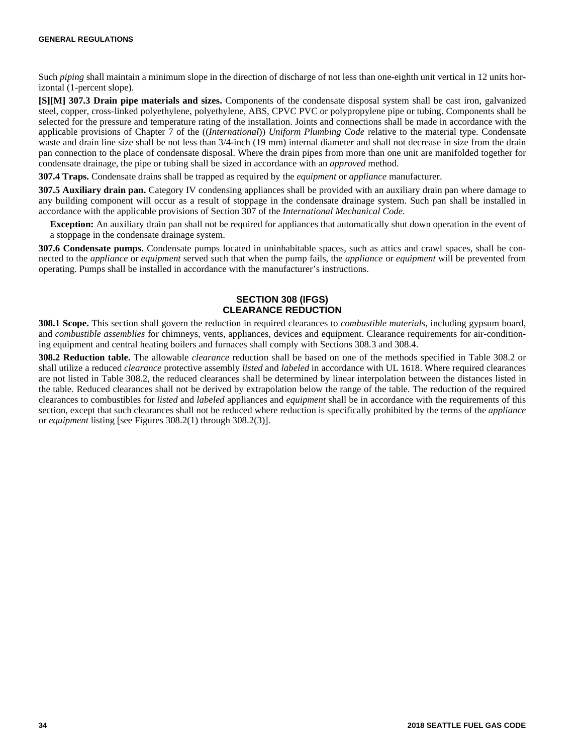Such *piping* shall maintain a minimum slope in the direction of discharge of not less than one-eighth unit vertical in 12 units horizontal (1-percent slope).

**[S][M] 307.3 Drain pipe materials and sizes.** Components of the condensate disposal system shall be cast iron, galvanized steel, copper, cross-linked polyethylene, polyethylene, ABS, CPVC PVC or polypropylene pipe or tubing. Components shall be selected for the pressure and temperature rating of the installation. Joints and connections shall be made in accordance with the applicable provisions of Chapter 7 of the ((*International*)) *Uniform Plumbing Code* relative to the material type. Condensate waste and drain line size shall be not less than 3/4-inch (19 mm) internal diameter and shall not decrease in size from the drain pan connection to the place of condensate disposal. Where the drain pipes from more than one unit are manifolded together for condensate drainage, the pipe or tubing shall be sized in accordance with an *approved* method.

**307.4 Traps.** Condensate drains shall be trapped as required by the *equipment* or *appliance* manufacturer.

**307.5 Auxiliary drain pan.** Category IV condensing appliances shall be provided with an auxiliary drain pan where damage to any building component will occur as a result of stoppage in the condensate drainage system. Such pan shall be installed in accordance with the applicable provisions of Section 307 of the *International Mechanical Code.*

**Exception:** An auxiliary drain pan shall not be required for appliances that automatically shut down operation in the event of a stoppage in the condensate drainage system.

**307.6 Condensate pumps.** Condensate pumps located in uninhabitable spaces, such as attics and crawl spaces, shall be connected to the *appliance* or *equipment* served such that when the pump fails, the *appliance* or *equipment* will be prevented from operating. Pumps shall be installed in accordance with the manufacturer's instructions.

## **SECTION 308 (IFGS) CLEARANCE REDUCTION**

**308.1 Scope.** This section shall govern the reduction in required clearances to *combustible materials*, including gypsum board, and *combustible assemblies* for chimneys, vents, appliances, devices and equipment. Clearance requirements for air-conditioning equipment and central heating boilers and furnaces shall comply with Sections 308.3 and 308.4.

**308.2 Reduction table.** The allowable *clearance* reduction shall be based on one of the methods specified in Table 308.2 or shall utilize a reduced *clearance* protective assembly *listed* and *labeled* in accordance with UL 1618. Where required clearances are not listed in Table 308.2, the reduced clearances shall be determined by linear interpolation between the distances listed in the table. Reduced clearances shall not be derived by extrapolation below the range of the table. The reduction of the required clearances to combustibles for *listed* and *labeled* appliances and *equipment* shall be in accordance with the requirements of this section, except that such clearances shall not be reduced where reduction is specifically prohibited by the terms of the *appliance* or *equipment* listing [see Figures 308.2(1) through 308.2(3)].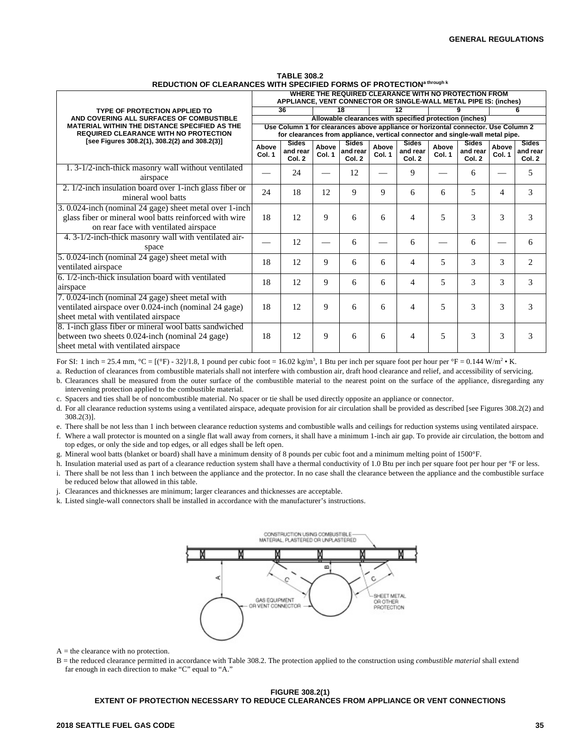#### **TABLE 308.2 REDUCTION OF CLEARANCES WITH SPECIFIED FORMS OF PROTECTIONa through k**

|                                                                                                                                                            | WHERE THE REQUIRED CLEARANCE WITH NO PROTECTION FROM<br>APPLIANCE, VENT CONNECTOR OR SINGLE-WALL METAL PIPE IS: (inches)                                      |                    |                 |                    |                 |                          |                 |                    |                 |                    |
|------------------------------------------------------------------------------------------------------------------------------------------------------------|---------------------------------------------------------------------------------------------------------------------------------------------------------------|--------------------|-----------------|--------------------|-----------------|--------------------------|-----------------|--------------------|-----------------|--------------------|
| <b>TYPE OF PROTECTION APPLIED TO</b>                                                                                                                       |                                                                                                                                                               | 36                 |                 | 18                 |                 | 12                       |                 |                    |                 | 6                  |
| AND COVERING ALL SURFACES OF COMBUSTIBLE                                                                                                                   | Allowable clearances with specified protection (inches)                                                                                                       |                    |                 |                    |                 |                          |                 |                    |                 |                    |
| <b>MATERIAL WITHIN THE DISTANCE SPECIFIED AS THE</b><br><b>REQUIRED CLEARANCE WITH NO PROTECTION</b>                                                       | Use Column 1 for clearances above appliance or horizontal connector. Use Column 2                                                                             |                    |                 |                    |                 |                          |                 |                    |                 |                    |
| [see Figures 308.2(1), 308.2(2) and 308.2(3)]                                                                                                              | for clearances from appliance, vertical connector and single-wall metal pipe.<br><b>Sides</b><br><b>Sides</b><br><b>Sides</b><br><b>Sides</b><br><b>Sides</b> |                    |                 |                    |                 |                          |                 |                    |                 |                    |
|                                                                                                                                                            | Above<br>Col. 1                                                                                                                                               | and rear<br>Col. 2 | Above<br>Col. 1 | and rear<br>Col. 2 | Above<br>Col. 1 | and rear<br>Col. 2       | Above<br>Col. 1 | and rear<br>Col. 2 | Above<br>Col. 1 | and rear<br>Col. 2 |
| 1.3-1/2-inch-thick masonry wall without ventilated<br>airspace                                                                                             |                                                                                                                                                               | 24                 |                 | 12                 |                 | 9                        |                 | 6                  |                 | 5                  |
| 2. 1/2-inch insulation board over 1-inch glass fiber or<br>mineral wool batts                                                                              | 24                                                                                                                                                            | 18                 | 12              | 9                  | 9               | 6                        | 6               | 5                  | 4               | 3                  |
| 3. 0.024-inch (nominal 24 gage) sheet metal over 1-inch<br>glass fiber or mineral wool batts reinforced with wire<br>on rear face with ventilated airspace | 18                                                                                                                                                            | 12                 | 9               | 6                  | 6               | $\overline{\mathcal{A}}$ | 5               | $\mathcal{R}$      | 3               | 3                  |
| 4. 3-1/2-inch-thick masonry wall with ventilated air-<br>space                                                                                             |                                                                                                                                                               | 12                 |                 | 6                  |                 | 6                        |                 | 6                  |                 | 6                  |
| 5. 0.024-inch (nominal 24 gage) sheet metal with<br>ventilated airspace                                                                                    | 18                                                                                                                                                            | 12                 | 9               | 6                  | 6               | 4                        | 5               | $\mathcal{E}$      | 3               | $\overline{c}$     |
| 6. 1/2-inch-thick insulation board with ventilated<br>airspace                                                                                             | 18                                                                                                                                                            | 12                 | 9               | 6                  | 6               | $\overline{\mathcal{A}}$ | 5               | 3                  | 3               | 3                  |
| 7. 0.024-inch (nominal 24 gage) sheet metal with<br>ventilated airspace over 0.024-inch (nominal 24 gage)<br>sheet metal with ventilated airspace          | 18                                                                                                                                                            | 12                 | 9               | 6                  | 6               | $\overline{4}$           | 5               | 3                  | 3               | 3                  |
| 8. 1-inch glass fiber or mineral wool batts sandwiched<br>between two sheets 0.024-inch (nominal 24 gage)<br>sheet metal with ventilated airspace          | 18                                                                                                                                                            | 12                 | 9               | 6                  | 6               | 4                        | $\overline{5}$  | 3                  | 3               | 3                  |

For SI: 1 inch = 25.4 mm,  $^{\circ}$ C = [ $^{\circ}$ F) - 32]/1.8, 1 pound per cubic foot = 16.02 kg/m<sup>3</sup>, 1 Btu per inch per square foot per hour per  $^{\circ}$ F = 0.144 W/m<sup>2</sup> • K.

a. Reduction of clearances from combustible materials shall not interfere with combustion air, draft hood clearance and relief, and accessibility of servicing. b. Clearances shall be measured from the outer surface of the combustible material to the nearest point on the surface of the appliance, disregarding any intervening protection applied to the combustible material.

c. Spacers and ties shall be of noncombustible material. No spacer or tie shall be used directly opposite an appliance or connector.

d. For all clearance reduction systems using a ventilated airspace, adequate provision for air circulation shall be provided as described [see Figures 308.2(2) and 308.2(3)].

e. There shall be not less than 1 inch between clearance reduction systems and combustible walls and ceilings for reduction systems using ventilated airspace.

f. Where a wall protector is mounted on a single flat wall away from corners, it shall have a minimum 1-inch air gap. To provide air circulation, the bottom and top edges, or only the side and top edges, or all edges shall be left open.

g. Mineral wool batts (blanket or board) shall have a minimum density of 8 pounds per cubic foot and a minimum melting point of 1500°F.

h. Insulation material used as part of a clearance reduction system shall have a thermal conductivity of 1.0 Btu per inch per square foot per hour per °F or less.

i. There shall be not less than 1 inch between the appliance and the protector. In no case shall the clearance between the appliance and the combustible surface be reduced below that allowed in this table.

j. Clearances and thicknesses are minimum; larger clearances and thicknesses are acceptable.

k. Listed single-wall connectors shall be installed in accordance with the manufacturer's instructions.



 $A =$  the clearance with no protection.

B = the reduced clearance permitted in accordance with Table 308.2. The protection applied to the construction using *combustible material* shall extend far enough in each direction to make "C" equal to "A."

#### **FIGURE 308.2(1) EXTENT OF PROTECTION NECESSARY TO REDUCE CLEARANCES FROM APPLIANCE OR VENT CONNECTIONS**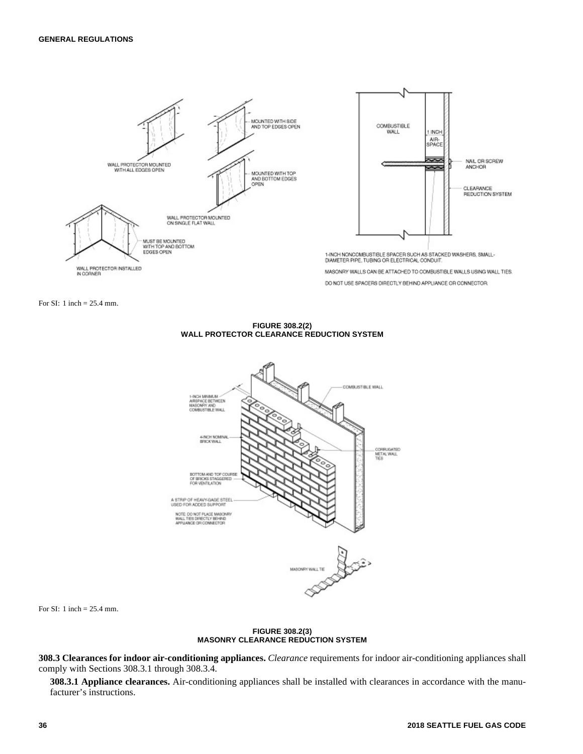

For SI: 1 inch  $= 25.4$  mm.



**FIGURE 308.2(2) WALL PROTECTOR CLEARANCE REDUCTION SYSTEM**

For SI: 1 inch  $= 25.4$  mm.

**FIGURE 308.2(3) MASONRY CLEARANCE REDUCTION SYSTEM**

**308.3 Clearances for indoor air-conditioning appliances.** *Clearance* requirements for indoor air-conditioning appliances shall comply with Sections 308.3.1 through 308.3.4.

**308.3.1 Appliance clearances.** Air-conditioning appliances shall be installed with clearances in accordance with the manufacturer's instructions.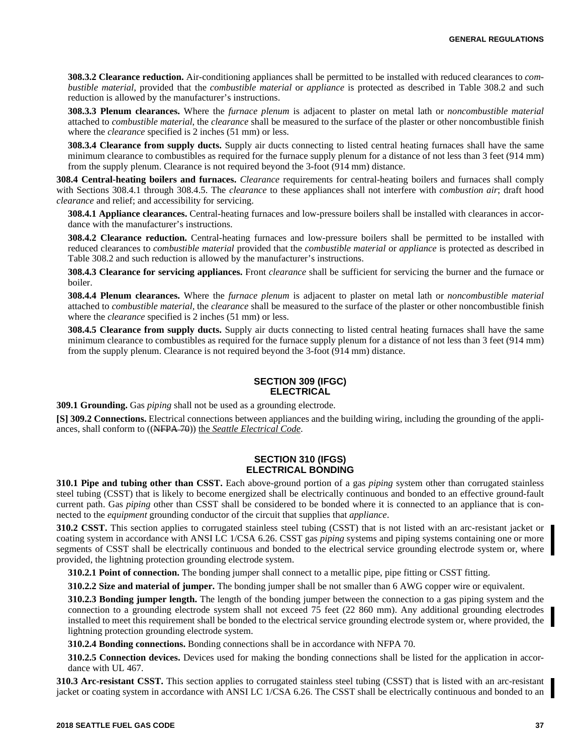**308.3.2 Clearance reduction.** Air-conditioning appliances shall be permitted to be installed with reduced clearances to *combustible material*, provided that the *combustible material* or *appliance* is protected as described in Table 308.2 and such reduction is allowed by the manufacturer's instructions.

**308.3.3 Plenum clearances.** Where the *furnace plenum* is adjacent to plaster on metal lath or *noncombustible material* attached to *combustible material*, the *clearance* shall be measured to the surface of the plaster or other noncombustible finish where the *clearance* specified is 2 inches (51 mm) or less.

**308.3.4 Clearance from supply ducts.** Supply air ducts connecting to listed central heating furnaces shall have the same minimum clearance to combustibles as required for the furnace supply plenum for a distance of not less than 3 feet (914 mm) from the supply plenum. Clearance is not required beyond the 3-foot (914 mm) distance.

**308.4 Central-heating boilers and furnaces.** *Clearance* requirements for central-heating boilers and furnaces shall comply with Sections 308.4.1 through 308.4.5. The *clearance* to these appliances shall not interfere with *combustion air*; draft hood *clearance* and relief; and accessibility for servicing.

**308.4.1 Appliance clearances.** Central-heating furnaces and low-pressure boilers shall be installed with clearances in accordance with the manufacturer's instructions.

**308.4.2 Clearance reduction.** Central-heating furnaces and low-pressure boilers shall be permitted to be installed with reduced clearances to *combustible material* provided that the *combustible material* or *appliance* is protected as described in Table 308.2 and such reduction is allowed by the manufacturer's instructions.

**308.4.3 Clearance for servicing appliances.** Front *clearance* shall be sufficient for servicing the burner and the furnace or boiler.

**308.4.4 Plenum clearances.** Where the *furnace plenum* is adjacent to plaster on metal lath or *noncombustible material* attached to *combustible material,* the *clearance* shall be measured to the surface of the plaster or other noncombustible finish where the *clearance* specified is 2 inches (51 mm) or less.

**308.4.5 Clearance from supply ducts.** Supply air ducts connecting to listed central heating furnaces shall have the same minimum clearance to combustibles as required for the furnace supply plenum for a distance of not less than 3 feet (914 mm) from the supply plenum. Clearance is not required beyond the 3-foot (914 mm) distance.

## **SECTION 309 (IFGC) ELECTRICAL**

**309.1 Grounding.** Gas *piping* shall not be used as a grounding electrode.

**[S] 309.2 Connections.** Electrical connections between appliances and the building wiring, including the grounding of the appliances, shall conform to ((NFPA 70)) the *Seattle Electrical Code*.

#### **SECTION 310 (IFGS) ELECTRICAL BONDING**

**310.1 Pipe and tubing other than CSST.** Each above-ground portion of a gas *piping* system other than corrugated stainless steel tubing (CSST) that is likely to become energized shall be electrically continuous and bonded to an effective ground-fault current path. Gas *piping* other than CSST shall be considered to be bonded where it is connected to an appliance that is connected to the *equipment* grounding conductor of the circuit that supplies that *appliance*.

**310.2 CSST.** This section applies to corrugated stainless steel tubing (CSST) that is not listed with an arc-resistant jacket or coating system in accordance with ANSI LC 1/CSA 6.26. CSST gas *piping* systems and piping systems containing one or more segments of CSST shall be electrically continuous and bonded to the electrical service grounding electrode system or, where provided, the lightning protection grounding electrode system.

**310.2.1 Point of connection.** The bonding jumper shall connect to a metallic pipe, pipe fitting or CSST fitting.

**310.2.2 Size and material of jumper.** The bonding jumper shall be not smaller than 6 AWG copper wire or equivalent.

**310.2.3 Bonding jumper length.** The length of the bonding jumper between the connection to a gas piping system and the connection to a grounding electrode system shall not exceed 75 feet (22 860 mm). Any additional grounding electrodes installed to meet this requirement shall be bonded to the electrical service grounding electrode system or, where provided, the lightning protection grounding electrode system.

**310.2.4 Bonding connections.** Bonding connections shall be in accordance with NFPA 70.

**310.2.5 Connection devices.** Devices used for making the bonding connections shall be listed for the application in accordance with UL 467.

**310.3 Arc-resistant CSST.** This section applies to corrugated stainless steel tubing (CSST) that is listed with an arc-resistant jacket or coating system in accordance with ANSI LC 1/CSA 6.26. The CSST shall be electrically continuous and bonded to an